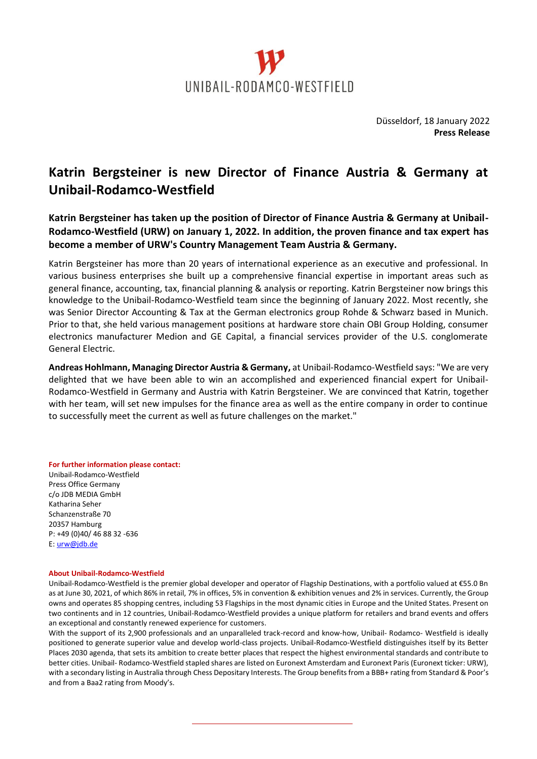

Düsseldorf, 18 January 2022 **Press Release**

## **Katrin Bergsteiner is new Director of Finance Austria & Germany at Unibail-Rodamco-Westfield**

**Katrin Bergsteiner has taken up the position of Director of Finance Austria & Germany at Unibail-Rodamco-Westfield (URW) on January 1, 2022. In addition, the proven finance and tax expert has become a member of URW's Country Management Team Austria & Germany.**

Katrin Bergsteiner has more than 20 years of international experience as an executive and professional. In various business enterprises she built up a comprehensive financial expertise in important areas such as general finance, accounting, tax, financial planning & analysis or reporting. Katrin Bergsteiner now brings this knowledge to the Unibail-Rodamco-Westfield team since the beginning of January 2022. Most recently, she was Senior Director Accounting & Tax at the German electronics group Rohde & Schwarz based in Munich. Prior to that, she held various management positions at hardware store chain OBI Group Holding, consumer electronics manufacturer Medion and GE Capital, a financial services provider of the U.S. conglomerate General Electric.

**Andreas Hohlmann, Managing Director Austria & Germany,** at Unibail-Rodamco-Westfield says: "We are very delighted that we have been able to win an accomplished and experienced financial expert for Unibail-Rodamco-Westfield in Germany and Austria with Katrin Bergsteiner. We are convinced that Katrin, together with her team, will set new impulses for the finance area as well as the entire company in order to continue to successfully meet the current as well as future challenges on the market."

## **For further information please contact:**

Unibail-Rodamco-Westfield Press Office Germany c/o JDB MEDIA GmbH Katharina Seher Schanzenstraße 70 20357 Hamburg P: +49 (0)40/ 46 88 32 -636 E: [urw@jdb.de](mailto:urw@jdb.de)

## **About Unibail-Rodamco-Westfield**

Unibail-Rodamco-Westfield is the premier global developer and operator of Flagship Destinations, with a portfolio valued at €55.0 Bn as at June 30, 2021, of which 86% in retail, 7% in offices, 5% in convention & exhibition venues and 2% in services. Currently, the Group owns and operates 85 shopping centres, including 53 Flagships in the most dynamic cities in Europe and the United States. Present on two continents and in 12 countries, Unibail-Rodamco-Westfield provides a unique platform for retailers and brand events and offers an exceptional and constantly renewed experience for customers.

With the support of its 2,900 professionals and an unparalleled track-record and know-how, Unibail- Rodamco- Westfield is ideally positioned to generate superior value and develop world-class projects. Unibail-Rodamco-Westfield distinguishes itself by its Better Places 2030 agenda, that sets its ambition to create better places that respect the highest environmental standards and contribute to better cities. Unibail- Rodamco-Westfield stapled shares are listed on Euronext Amsterdam and Euronext Paris (Euronext ticker: URW), with a secondary listing in Australia through Chess Depositary Interests. The Group benefits from a BBB+ rating from Standard & Poor's and from a Baa2 rating from Moody's.